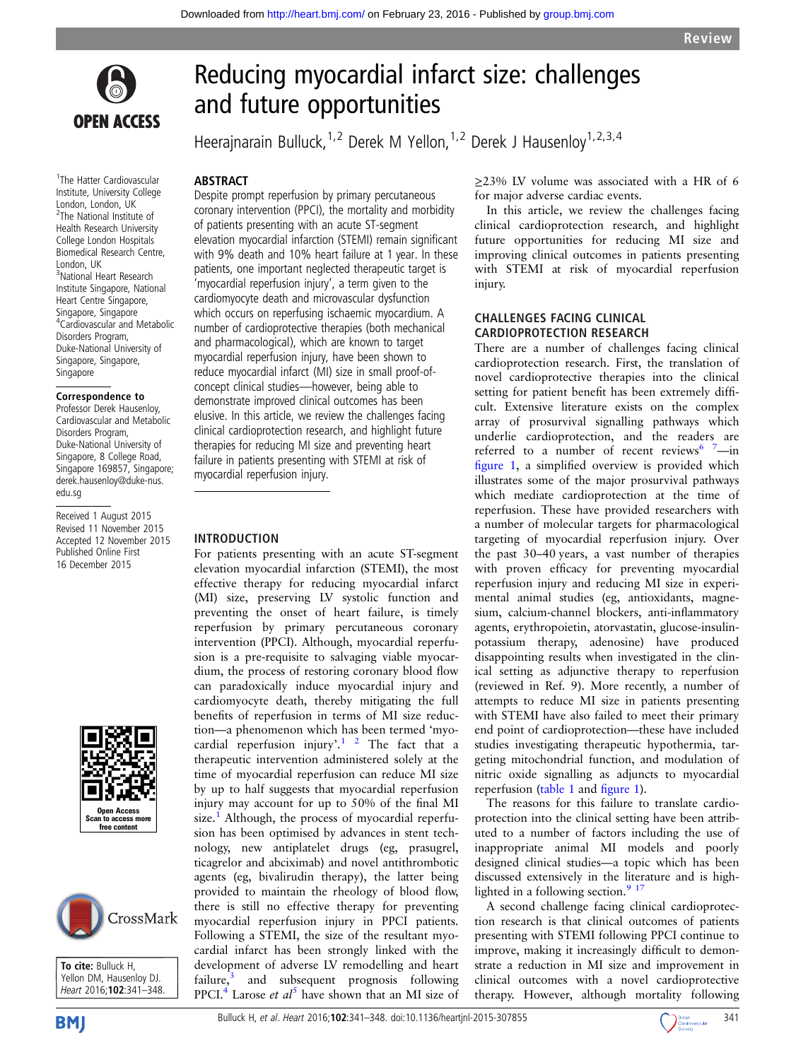

1 The Hatter Cardiovascular Institute, University College London, London, UK <sup>2</sup>The National Institute of Health Research University College London Hospitals Biomedical Research Centre, London, UK 3 National Heart Research Institute Singapore, National Heart Centre Singapore, Singapore, Singapore 4 Cardiovascular and Metabolic Disorders Program, Duke-National University of Singapore, Singapore, Singapore

### Correspondence to

Professor Derek Hausenloy, Cardiovascular and Metabolic Disorders Program, Duke-National University of Singapore, 8 College Road, Singapore 169857, Singapore; derek.hausenloy@duke-nus. edu.sg

Received 1 August 2015 Revised 11 November 2015 Accepted 12 November 2015 Published Online First 16 December 2015





To cite: Bulluck H, Yellon DM, Hausenloy DJ. Heart 2016;102:341-348

# Reducing myocardial infarct size: challenges and future opportunities

Heerajnarain Bulluck,<sup>1,2</sup> Derek M Yellon,<sup>1,2</sup> Derek J Hausenloy<sup>1,2,3,4</sup>

### ABSTRACT

Despite prompt reperfusion by primary percutaneous coronary intervention (PPCI), the mortality and morbidity of patients presenting with an acute ST-segment elevation myocardial infarction (STEMI) remain significant with 9% death and 10% heart failure at 1 year. In these patients, one important neglected therapeutic target is 'myocardial reperfusion injury', a term given to the cardiomyocyte death and microvascular dysfunction which occurs on reperfusing ischaemic myocardium. A number of cardioprotective therapies (both mechanical and pharmacological), which are known to target myocardial reperfusion injury, have been shown to reduce myocardial infarct (MI) size in small proof-ofconcept clinical studies—however, being able to demonstrate improved clinical outcomes has been elusive. In this article, we review the challenges facing clinical cardioprotection research, and highlight future therapies for reducing MI size and preventing heart failure in patients presenting with STEMI at risk of myocardial reperfusion injury.

### INTRODUCTION

For patients presenting with an acute ST-segment elevation myocardial infarction (STEMI), the most effective therapy for reducing myocardial infarct (MI) size, preserving LV systolic function and preventing the onset of heart failure, is timely reperfusion by primary percutaneous coronary intervention (PPCI). Although, myocardial reperfusion is a pre-requisite to salvaging viable myocardium, the process of restoring coronary blood flow can paradoxically induce myocardial injury and cardiomyocyte death, thereby mitigating the full benefits of reperfusion in terms of MI size reduction—a phenomenon which has been termed 'myocardial reperfusion injury'.<sup>1</sup> <sup>2</sup> The fact that a therapeutic intervention administered solely at the time of myocardial reperfusion can reduce MI size by up to half suggests that myocardial reperfusion injury may account for up to 50% of the final MI size.<sup>1</sup> Although, the process of myocardial reperfusion has been optimised by advances in stent technology, new antiplatelet drugs (eg, prasugrel, ticagrelor and abciximab) and novel antithrombotic agents (eg, bivalirudin therapy), the latter being provided to maintain the rheology of blood flow, there is still no effective therapy for preventing myocardial reperfusion injury in PPCI patients. Following a STEMI, the size of the resultant myocardial infarct has been strongly linked with the development of adverse LV remodelling and heart failure, $3$  and subsequent prognosis following PPCI.<sup>4</sup> Larose *et al*<sup>[5](#page-6-0)</sup> have shown that an MI size of ≥23% LV volume was associated with a HR of 6 for major adverse cardiac events.

In this article, we review the challenges facing clinical cardioprotection research, and highlight future opportunities for reducing MI size and improving clinical outcomes in patients presenting with STEMI at risk of myocardial reperfusion injury.

### CHALLENGES FACING CLINICAL CARDIOPROTECTION RESEARCH

There are a number of challenges facing clinical cardioprotection research. First, the translation of novel cardioprotective therapies into the clinical setting for patient benefit has been extremely difficult. Extensive literature exists on the complex array of prosurvival signalling pathways which underlie cardioprotection, and the readers are referred to a number of recent reviews  $7$ —in fi[gure 1](#page-1-0), a simplified overview is provided which illustrates some of the major prosurvival pathways which mediate cardioprotection at the time of reperfusion. These have provided researchers with a number of molecular targets for pharmacological targeting of myocardial reperfusion injury. Over the past 30–40 years, a vast number of therapies with proven efficacy for preventing myocardial reperfusion injury and reducing MI size in experimental animal studies (eg, antioxidants, magnesium, calcium-channel blockers, anti-inflammatory agents, erythropoietin, atorvastatin, glucose-insulinpotassium therapy, adenosine) have produced disappointing results when investigated in the clinical setting as adjunctive therapy to reperfusion (reviewed in Ref. 9). More recently, a number of attempts to reduce MI size in patients presenting with STEMI have also failed to meet their primary end point of cardioprotection—these have included studies investigating therapeutic hypothermia, targeting mitochondrial function, and modulation of nitric oxide signalling as adjuncts to myocardial reperfusion [\(table 1](#page-2-0) and fi[gure 1\)](#page-1-0).

The reasons for this failure to translate cardioprotection into the clinical setting have been attributed to a number of factors including the use of inappropriate animal MI models and poorly designed clinical studies—a topic which has been discussed extensively in the literature and is highlighted in a following section. $917$ 

A second challenge facing clinical cardioprotection research is that clinical outcomes of patients presenting with STEMI following PPCI continue to improve, making it increasingly difficult to demonstrate a reduction in MI size and improvement in clinical outcomes with a novel cardioprotective therapy. However, although mortality following

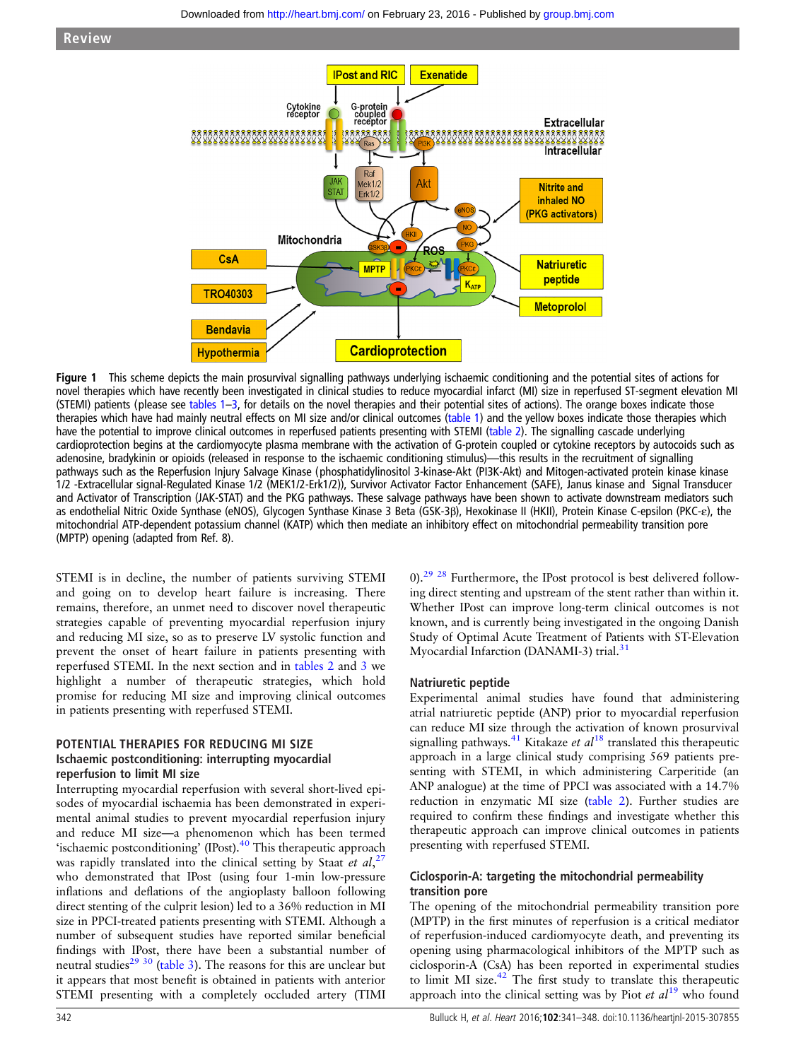<span id="page-1-0"></span>

Figure 1 This scheme depicts the main prosurvival signalling pathways underlying ischaemic conditioning and the potential sites of actions for novel therapies which have recently been investigated in clinical studies to reduce myocardial infarct (MI) size in reperfused ST-segment elevation MI (STEMI) patients (please see [tables 1](#page-2-0)–[3,](#page-4-0) for details on the novel therapies and their potential sites of actions). The orange boxes indicate those therapies which have had mainly neutral effects on MI size and/or clinical outcomes [\(table 1](#page-2-0)) and the yellow boxes indicate those therapies which have the potential to improve clinical outcomes in reperfused patients presenting with STEMI [\(table 2](#page-3-0)). The signalling cascade underlying cardioprotection begins at the cardiomyocyte plasma membrane with the activation of G-protein coupled or cytokine receptors by autocoids such as adenosine, bradykinin or opioids (released in response to the ischaemic conditioning stimulus)—this results in the recruitment of signalling pathways such as the Reperfusion Injury Salvage Kinase (phosphatidylinositol 3-kinase-Akt (PI3K-Akt) and Mitogen-activated protein kinase kinase 1/2 -Extracellular signal-Regulated Kinase 1/2 (MEK1/2-Erk1/2)), Survivor Activator Factor Enhancement (SAFE), Janus kinase and Signal Transducer and Activator of Transcription (JAK-STAT) and the PKG pathways. These salvage pathways have been shown to activate downstream mediators such as endothelial Nitric Oxide Synthase (eNOS), Glycogen Synthase Kinase 3 Beta (GSK-3β), Hexokinase II (HKII), Protein Kinase C-epsilon (PKC-ε), the mitochondrial ATP-dependent potassium channel (KATP) which then mediate an inhibitory effect on mitochondrial permeability transition pore (MPTP) opening (adapted from Ref. 8).

STEMI is in decline, the number of patients surviving STEMI and going on to develop heart failure is increasing. There remains, therefore, an unmet need to discover novel therapeutic strategies capable of preventing myocardial reperfusion injury and reducing MI size, so as to preserve LV systolic function and prevent the onset of heart failure in patients presenting with reperfused STEMI. In the next section and in [tables 2](#page-3-0) and [3](#page-4-0) we highlight a number of therapeutic strategies, which hold promise for reducing MI size and improving clinical outcomes in patients presenting with reperfused STEMI.

### POTENTIAL THERAPIES FOR REDUCING MI SIZE Ischaemic postconditioning: interrupting myocardial reperfusion to limit MI size

Interrupting myocardial reperfusion with several short-lived episodes of myocardial ischaemia has been demonstrated in experimental animal studies to prevent myocardial reperfusion injury and reduce MI size—a phenomenon which has been termed 'ischaemic postconditioning' (IPost).<sup>40</sup> This therapeutic approach was rapidly translated into the clinical setting by Staat et al,<sup>[27](#page-6-0)</sup> who demonstrated that IPost (using four 1-min low-pressure inflations and deflations of the angioplasty balloon following direct stenting of the culprit lesion) led to a 36% reduction in MI size in PPCI-treated patients presenting with STEMI. Although a number of subsequent studies have reported similar beneficial findings with IPost, there have been a substantial number of neutral studies<sup>29</sup> 30 ([table 3\)](#page-4-0). The reasons for this are unclear but it appears that most benefit is obtained in patients with anterior STEMI presenting with a completely occluded artery (TIMI

0).<sup>[29 28](#page-6-0)</sup> Furthermore, the IPost protocol is best delivered following direct stenting and upstream of the stent rather than within it. Whether IPost can improve long-term clinical outcomes is not known, and is currently being investigated in the ongoing Danish Study of Optimal Acute Treatment of Patients with ST-Elevation Myocardial Infarction (DANAMI-3) trial.<sup>[31](#page-6-0)</sup>

### Natriuretic peptide

Experimental animal studies have found that administering atrial natriuretic peptide (ANP) prior to myocardial reperfusion can reduce MI size through the activation of known prosurvival signalling pathways.<sup>[41](#page-7-0)</sup> Kitakaze et  $al^{18}$  $al^{18}$  $al^{18}$  translated this therapeutic approach in a large clinical study comprising 569 patients presenting with STEMI, in which administering Carperitide (an ANP analogue) at the time of PPCI was associated with a 14.7% reduction in enzymatic MI size [\(table 2](#page-3-0)). Further studies are required to confirm these findings and investigate whether this therapeutic approach can improve clinical outcomes in patients presenting with reperfused STEMI.

### Ciclosporin-A: targeting the mitochondrial permeability transition pore

The opening of the mitochondrial permeability transition pore (MPTP) in the first minutes of reperfusion is a critical mediator of reperfusion-induced cardiomyocyte death, and preventing its opening using pharmacological inhibitors of the MPTP such as ciclosporin-A (CsA) has been reported in experimental studies to limit MI size. $42$  The first study to translate this therapeutic approach into the clinical setting was by Piot et  $al^{19}$  $al^{19}$  $al^{19}$  who found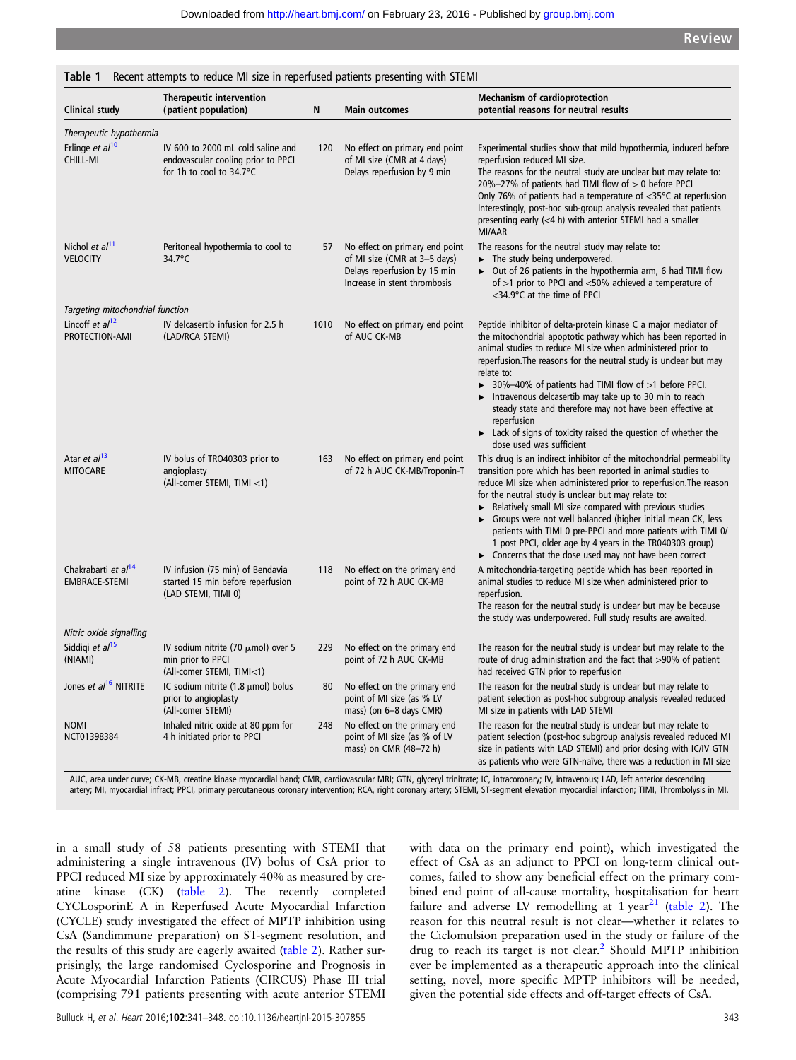| <b>Clinical study</b>                                   | Therapeutic intervention<br>(patient population)                                                              | N    | <b>Main outcomes</b>                                                                                                           | <b>Mechanism of cardioprotection</b><br>potential reasons for neutral results                                                                                                                                                                                                                                                                                                                                                                                                                                                                                                                                        |
|---------------------------------------------------------|---------------------------------------------------------------------------------------------------------------|------|--------------------------------------------------------------------------------------------------------------------------------|----------------------------------------------------------------------------------------------------------------------------------------------------------------------------------------------------------------------------------------------------------------------------------------------------------------------------------------------------------------------------------------------------------------------------------------------------------------------------------------------------------------------------------------------------------------------------------------------------------------------|
| Therapeutic hypothermia                                 |                                                                                                               |      |                                                                                                                                |                                                                                                                                                                                                                                                                                                                                                                                                                                                                                                                                                                                                                      |
| Erlinge et al <sup>10</sup><br><b>CHILL-MI</b>          | IV 600 to 2000 mL cold saline and<br>endovascular cooling prior to PPCI<br>for 1h to cool to $34.7^{\circ}$ C | 120  | No effect on primary end point<br>of MI size (CMR at 4 days)<br>Delays reperfusion by 9 min                                    | Experimental studies show that mild hypothermia, induced before<br>reperfusion reduced MI size.<br>The reasons for the neutral study are unclear but may relate to:<br>20%-27% of patients had TIMI flow of $> 0$ before PPCI<br>Only 76% of patients had a temperature of $<$ 35 $\degree$ C at reperfusion<br>Interestingly, post-hoc sub-group analysis revealed that patients<br>presenting early $(<$ 4 h) with anterior STEMI had a smaller<br><b>MI/AAR</b>                                                                                                                                                   |
| Nichol et al <sup>11</sup><br><b>VELOCITY</b>           | Peritoneal hypothermia to cool to<br>34.7°C                                                                   | 57   | No effect on primary end point<br>of MI size (CMR at 3-5 days)<br>Delays reperfusion by 15 min<br>Increase in stent thrombosis | The reasons for the neutral study may relate to:<br>The study being underpowered.<br>• Out of 26 patients in the hypothermia arm, 6 had TIMI flow<br>of >1 prior to PPCI and <50% achieved a temperature of<br><34.9°C at the time of PPCI                                                                                                                                                                                                                                                                                                                                                                           |
| Targeting mitochondrial function                        |                                                                                                               |      |                                                                                                                                |                                                                                                                                                                                                                                                                                                                                                                                                                                                                                                                                                                                                                      |
| Lincoff et $a/12$<br>PROTECTION-AMI                     | IV delcasertib infusion for 2.5 h<br>(LAD/RCA STEMI)                                                          | 1010 | No effect on primary end point<br>of AUC CK-MB                                                                                 | Peptide inhibitor of delta-protein kinase C a major mediator of<br>the mitochondrial apoptotic pathway which has been reported in<br>animal studies to reduce MI size when administered prior to<br>reperfusion. The reasons for the neutral study is unclear but may<br>relate to:<br>$\triangleright$ 30%-40% of patients had TIMI flow of >1 before PPCI.<br>Intravenous delcasertib may take up to 30 min to reach<br>steady state and therefore may not have been effective at<br>reperfusion<br>$\blacktriangleright$ Lack of signs of toxicity raised the question of whether the<br>dose used was sufficient |
| Atar et al <sup>13</sup><br><b>MITOCARE</b>             | IV bolus of TRO40303 prior to<br>angioplasty<br>(All-comer STEMI, TIMI <1)                                    | 163  | No effect on primary end point<br>of 72 h AUC CK-MB/Troponin-T                                                                 | This drug is an indirect inhibitor of the mitochondrial permeability<br>transition pore which has been reported in animal studies to<br>reduce MI size when administered prior to reperfusion. The reason<br>for the neutral study is unclear but may relate to:<br>Relatively small MI size compared with previous studies<br>Groups were not well balanced (higher initial mean CK, less<br>patients with TIMI 0 pre-PPCI and more patients with TIMI 0/<br>1 post PPCI, older age by 4 years in the TR040303 group)<br>• Concerns that the dose used may not have been correct                                    |
| Chakrabarti et al <sup>14</sup><br><b>EMBRACE-STEMI</b> | IV infusion (75 min) of Bendavia<br>started 15 min before reperfusion<br>(LAD STEMI, TIMI 0)                  | 118  | No effect on the primary end<br>point of 72 h AUC CK-MB                                                                        | A mitochondria-targeting peptide which has been reported in<br>animal studies to reduce MI size when administered prior to<br>reperfusion.<br>The reason for the neutral study is unclear but may be because<br>the study was underpowered. Full study results are awaited.                                                                                                                                                                                                                                                                                                                                          |
| Nitric oxide signalling                                 |                                                                                                               |      |                                                                                                                                |                                                                                                                                                                                                                                                                                                                                                                                                                                                                                                                                                                                                                      |
| Siddigi et al <sup>15</sup><br>(NIAMI)                  | IV sodium nitrite (70 $\mu$ mol) over 5<br>min prior to PPCI<br>(All-comer STEMI, TIMI<1)                     | 229  | No effect on the primary end<br>point of 72 h AUC CK-MB                                                                        | The reason for the neutral study is unclear but may relate to the<br>route of drug administration and the fact that >90% of patient<br>had received GTN prior to reperfusion                                                                                                                                                                                                                                                                                                                                                                                                                                         |
| Jones et al <sup>16</sup> NITRITE                       | IC sodium nitrite $(1.8 \mu \text{mol})$ bolus<br>prior to angioplasty<br>(All-comer STEMI)                   | 80   | No effect on the primary end<br>point of MI size (as % LV<br>mass) (on 6-8 days CMR)                                           | The reason for the neutral study is unclear but may relate to<br>patient selection as post-hoc subgroup analysis revealed reduced<br>MI size in patients with LAD STEMI                                                                                                                                                                                                                                                                                                                                                                                                                                              |
| <b>NOMI</b><br>NCT01398384                              | Inhaled nitric oxide at 80 ppm for<br>4 h initiated prior to PPCI                                             | 248  | No effect on the primary end<br>point of MI size (as % of LV<br>mass) on CMR (48-72 h)                                         | The reason for the neutral study is unclear but may relate to<br>patient selection (post-hoc subgroup analysis revealed reduced MI<br>size in patients with LAD STEMI) and prior dosing with IC/IV GTN<br>as patients who were GTN-naïve, there was a reduction in MI size                                                                                                                                                                                                                                                                                                                                           |

<span id="page-2-0"></span>Table 1 Recent attempts to reduce MI size in reperfused patients presenting with STEMI

AUC, area under curve; CK-MB, creatine kinase myocardial band; CMR, cardiovascular MRI; GTN, glyceryl trinitrate; IC, intracoronary; IV, intravenous; LAD, left anterior descending artery; MI, myocardial infract; PPCI, primary percutaneous coronary intervention; RCA, right coronary artery; STEMI, ST-segment elevation myocardial infarction; TIMI, Thrombolysis in MI.

in a small study of 58 patients presenting with STEMI that administering a single intravenous (IV) bolus of CsA prior to PPCI reduced MI size by approximately 40% as measured by creatine kinase (CK) [\(table 2](#page-3-0)). The recently completed CYCLosporinE A in Reperfused Acute Myocardial Infarction (CYCLE) study investigated the effect of MPTP inhibition using CsA (Sandimmune preparation) on ST-segment resolution, and the results of this study are eagerly awaited [\(table 2\)](#page-3-0). Rather surprisingly, the large randomised Cyclosporine and Prognosis in Acute Myocardial Infarction Patients (CIRCUS) Phase III trial (comprising 791 patients presenting with acute anterior STEMI with data on the primary end point), which investigated the effect of CsA as an adjunct to PPCI on long-term clinical outcomes, failed to show any beneficial effect on the primary combined end point of all-cause mortality, hospitalisation for heart failure and adverse LV remodelling at 1 year<sup>[21](#page-6-0)</sup> ([table 2](#page-3-0)). The reason for this neutral result is not clear—whether it relates to the Ciclomulsion preparation used in the study or failure of the drug to reach its target is not clear.<sup>[2](#page-6-0)</sup> Should MPTP inhibition ever be implemented as a therapeutic approach into the clinical setting, novel, more specific MPTP inhibitors will be needed, given the potential side effects and off-target effects of CsA.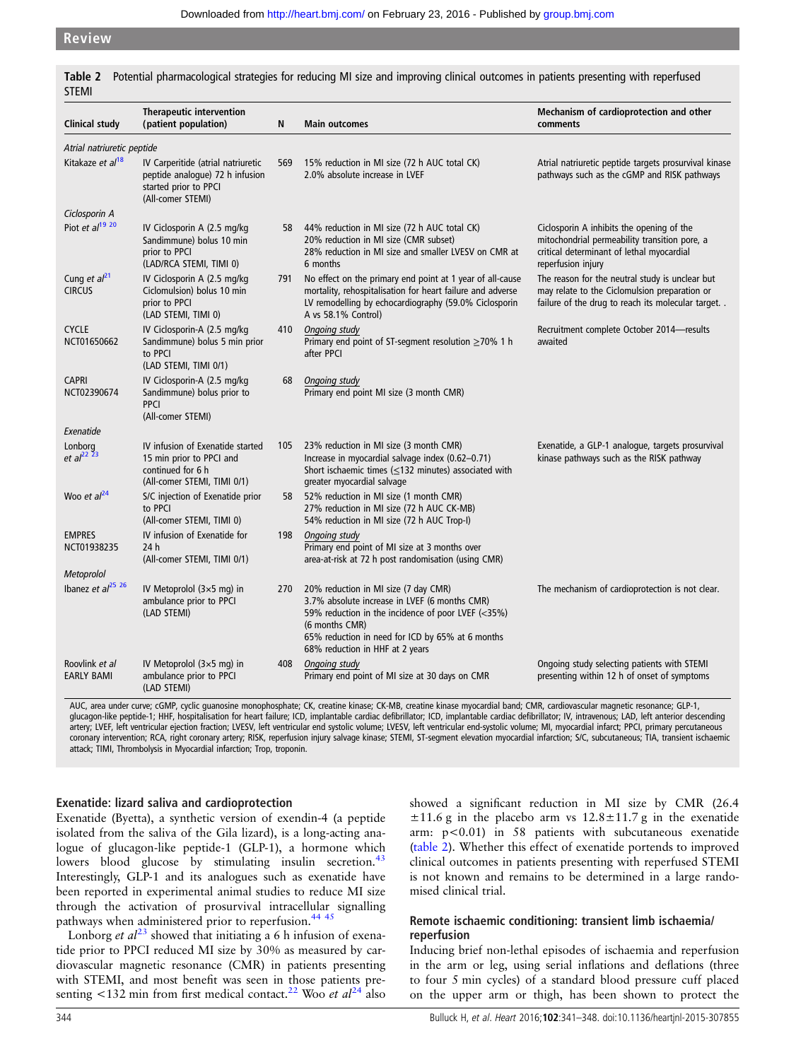| <b>Clinical study</b>                 | <b>Therapeutic intervention</b><br>(patient population)                                                             | N   | <b>Main outcomes</b>                                                                                                                                                                                                                                 | Mechanism of cardioprotection and other<br>comments                                                                                                           |
|---------------------------------------|---------------------------------------------------------------------------------------------------------------------|-----|------------------------------------------------------------------------------------------------------------------------------------------------------------------------------------------------------------------------------------------------------|---------------------------------------------------------------------------------------------------------------------------------------------------------------|
| Atrial natriuretic peptide            |                                                                                                                     |     |                                                                                                                                                                                                                                                      |                                                                                                                                                               |
| Kitakaze et al <sup>18</sup>          | IV Carperitide (atrial natriuretic<br>peptide analogue) 72 h infusion<br>started prior to PPCI<br>(All-comer STEMI) | 569 | 15% reduction in MI size (72 h AUC total CK)<br>2.0% absolute increase in LVEF                                                                                                                                                                       | Atrial natriuretic peptide targets prosurvival kinase<br>pathways such as the cGMP and RISK pathways                                                          |
| Ciclosporin A                         |                                                                                                                     |     |                                                                                                                                                                                                                                                      |                                                                                                                                                               |
| Piot et al <sup>19 20</sup>           | IV Ciclosporin A (2.5 mg/kg)<br>Sandimmune) bolus 10 min<br>prior to PPCI<br>(LAD/RCA STEMI, TIMI 0)                | 58  | 44% reduction in MI size (72 h AUC total CK)<br>20% reduction in MI size (CMR subset)<br>28% reduction in MI size and smaller LVESV on CMR at<br>6 months                                                                                            | Ciclosporin A inhibits the opening of the<br>mitochondrial permeability transition pore, a<br>critical determinant of lethal myocardial<br>reperfusion injury |
| Cung et $al21$<br><b>CIRCUS</b>       | IV Ciclosporin A (2.5 mg/kg)<br>Ciclomulsion) bolus 10 min<br>prior to PPCI<br>(LAD STEMI, TIMI 0)                  | 791 | No effect on the primary end point at 1 year of all-cause<br>mortality, rehospitalisation for heart failure and adverse<br>LV remodelling by echocardiography (59.0% Ciclosporin<br>A vs 58.1% Control)                                              | The reason for the neutral study is unclear but<br>may relate to the Ciclomulsion preparation or<br>failure of the drug to reach its molecular target. .      |
| <b>CYCLE</b><br>NCT01650662           | IV Ciclosporin-A (2.5 mg/kg<br>Sandimmune) bolus 5 min prior<br>to PPCI<br>(LAD STEMI, TIMI 0/1)                    | 410 | Ongoing study<br>Primary end point of ST-segment resolution $\geq$ 70% 1 h<br>after PPCI                                                                                                                                                             | Recruitment complete October 2014-results<br>awaited                                                                                                          |
| <b>CAPRI</b><br>NCT02390674           | IV Ciclosporin-A (2.5 mg/kg)<br>Sandimmune) bolus prior to<br><b>PPCI</b><br>(All-comer STEMI)                      | 68  | <b>Ongoing study</b><br>Primary end point MI size (3 month CMR)                                                                                                                                                                                      |                                                                                                                                                               |
| Exenatide                             |                                                                                                                     |     |                                                                                                                                                                                                                                                      |                                                                                                                                                               |
| Lonborg<br>et $al^{22}$ <sup>23</sup> | IV infusion of Exenatide started<br>15 min prior to PPCI and<br>continued for 6 h<br>(All-comer STEMI, TIMI 0/1)    | 105 | 23% reduction in MI size (3 month CMR)<br>Increase in myocardial salvage index (0.62-0.71)<br>Short ischaemic times ( $\leq$ 132 minutes) associated with<br>greater myocardial salvage                                                              | Exenatide, a GLP-1 analogue, targets prosurvival<br>kinase pathways such as the RISK pathway                                                                  |
| Woo et al <sup>24</sup>               | S/C injection of Exenatide prior<br>to PPCI<br>(All-comer STEMI, TIMI 0)                                            | 58  | 52% reduction in MI size (1 month CMR)<br>27% reduction in MI size (72 h AUC CK-MB)<br>54% reduction in MI size (72 h AUC Trop-I)                                                                                                                    |                                                                                                                                                               |
| <b>EMPRES</b><br>NCT01938235          | IV infusion of Exenatide for<br>24 h<br>(All-comer STEMI, TIMI 0/1)                                                 | 198 | Ongoing study<br>Primary end point of MI size at 3 months over<br>area-at-risk at 72 h post randomisation (using CMR)                                                                                                                                |                                                                                                                                                               |
| Metoprolol                            |                                                                                                                     |     |                                                                                                                                                                                                                                                      |                                                                                                                                                               |
| Ibanez et al <sup>25 26</sup>         | IV Metoprolol $(3\times5$ mg) in<br>ambulance prior to PPCI<br>(LAD STEMI)                                          | 270 | 20% reduction in MI size (7 day CMR)<br>3.7% absolute increase in LVEF (6 months CMR)<br>59% reduction in the incidence of poor LVEF (<35%)<br>(6 months CMR)<br>65% reduction in need for ICD by 65% at 6 months<br>68% reduction in HHF at 2 years | The mechanism of cardioprotection is not clear.                                                                                                               |
| Roovlink et al<br>EARLY BAMI          | IV Metoprolol $(3\times5$ mg) in<br>ambulance prior to PPCI<br>(LAD STEMI)                                          | 408 | Ongoing study<br>Primary end point of MI size at 30 days on CMR                                                                                                                                                                                      | Ongoing study selecting patients with STEMI<br>presenting within 12 h of onset of symptoms                                                                    |

<span id="page-3-0"></span>Table 2 Potential pharmacological strategies for reducing MI size and improving clinical outcomes in patients presenting with reperfused STEMI

AUC, area under curve; cGMP, cyclic guanosine monophosphate; CK, creatine kinase; CK-MB, creatine kinase myocardial band; CMR, cardiovascular magnetic resonance; GLP-1, glucagon-like peptide-1; HHF, hospitalisation for heart failure; ICD, implantable cardiac defibrillator; ICD, implantable cardiac defibrillator; IV, intravenous; LAD, left anterior descending artery; LVEF, left ventricular ejection fraction; LVESV, left ventricular end systolic volume; LVESV, left ventricular end-systolic volume; MI, myocardial infarct; PPCI, primary percutaneous coronary intervention; RCA, right coronary artery; RISK, reperfusion injury salvage kinase; STEMI, ST-segment elevation myocardial infarction; S/C, subcutaneous; TIA, transient ischaemic attack; TIMI, Thrombolysis in Myocardial infarction; Trop, troponin.

### Exenatide: lizard saliva and cardioprotection

Exenatide (Byetta), a synthetic version of exendin-4 (a peptide isolated from the saliva of the Gila lizard), is a long-acting analogue of glucagon-like peptide-1 (GLP-1), a hormone which lowers blood glucose by stimulating insulin secretion.<sup>[43](#page-7-0)</sup> Interestingly, GLP-1 and its analogues such as exenatide have been reported in experimental animal studies to reduce MI size through the activation of prosurvival intracellular signalling pathways when administered prior to reperfusion.<sup>[44 45](#page-7-0)</sup>

Lonborg et  $al^{23}$  $al^{23}$  $al^{23}$  showed that initiating a 6 h infusion of exenatide prior to PPCI reduced MI size by 30% as measured by cardiovascular magnetic resonance (CMR) in patients presenting with STEMI, and most benefit was seen in those patients pre-senting <132 min from first medical contact.<sup>[22](#page-6-0)</sup> Woo et  $al^{24}$  $al^{24}$  $al^{24}$  also showed a significant reduction in MI size by CMR (26.4  $\pm 11.6$  g in the placebo arm vs  $12.8\pm 11.7$  g in the exenatide arm: p<0.01) in 58 patients with subcutaneous exenatide (table 2). Whether this effect of exenatide portends to improved clinical outcomes in patients presenting with reperfused STEMI is not known and remains to be determined in a large randomised clinical trial.

### Remote ischaemic conditioning: transient limb ischaemia/ reperfusion

Inducing brief non-lethal episodes of ischaemia and reperfusion in the arm or leg, using serial inflations and deflations (three to four 5 min cycles) of a standard blood pressure cuff placed on the upper arm or thigh, has been shown to protect the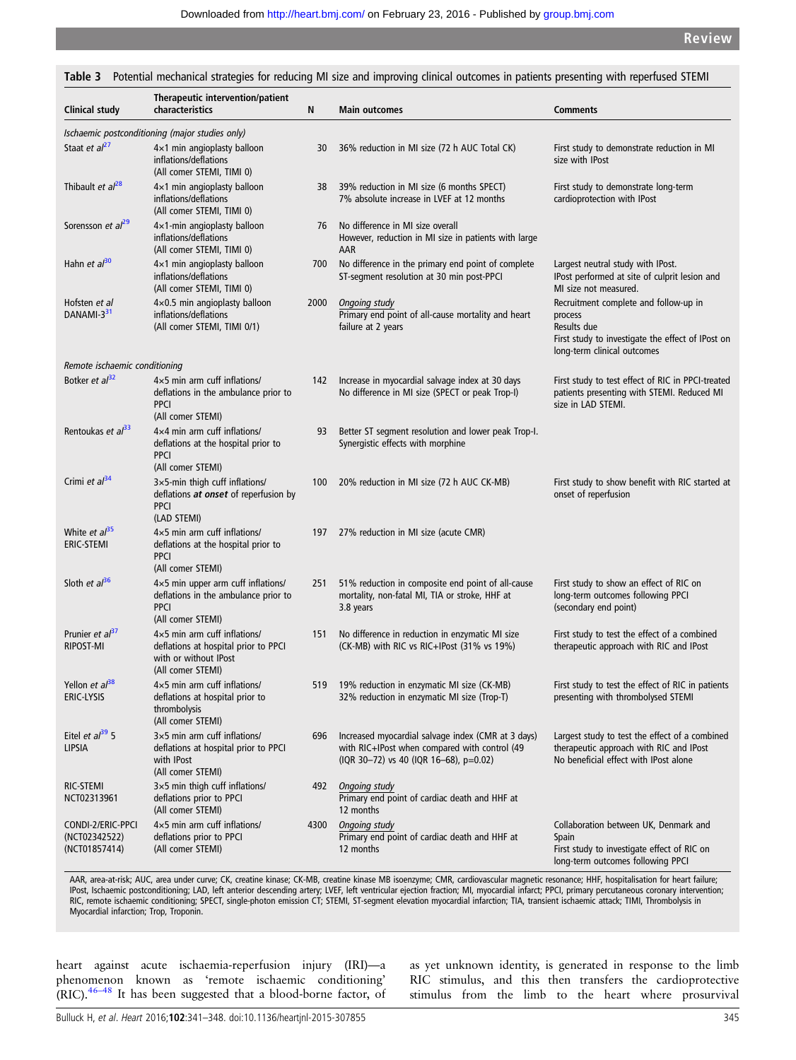#### Clinical study Therapeutic intervention/patient characteristics N Main outcomes Comments Ischaemic postconditioning (major studies only) Staat et  $al^{27}$  $al^{27}$  $al^{27}$  4×1 min angioplasty balloon inflations/deflations (All comer STEMI, TIMI 0) 30 36% reduction in MI size (72 h AUC Total CK) First study to demonstrate reduction in MI size with IPost Thibault et  $al^{28}$  $al^{28}$  $al^{28}$  4×1 min angioplasty balloon inflations/deflations (All comer STEMI, TIMI 0) 38 39% reduction in MI size (6 months SPECT) 7% absolute increase in LVEF at 12 months First study to demonstrate long-term cardioprotection with IPost Sorensson et  $a^{29}$  $a^{29}$  $a^{29}$  4×1-min angioplasty balloon inflations/deflations (All comer STEMI, TIMI 0) 76 No difference in MI size overall However, reduction in MI size in patients with large AAR Hahn et  $a^{30}$  $a^{30}$  $a^{30}$  4×1 min angioplasty balloon inflations/deflations (All comer STEMI, TIMI 0) 700 No difference in the primary end point of complete ST-segment resolution at 30 min post-PPCI Largest neutral study with IPost. IPost performed at site of culprit lesion and MI size not measured. Hofsten et al DANAMI-3<sup>[31](#page-6-0)</sup> 4×0.5 min angioplasty balloon inflations/deflations (All comer STEMI, TIMI 0/1) 2000 Ongoing study Primary end point of all-cause mortality and heart failure at 2 years Recruitment complete and follow-up in process Results due First study to investigate the effect of IPost on long-term clinical outcomes Remote ischaemic conditioning Botker et  $a^{32}$  $a^{32}$  $a^{32}$  4×5 min arm cuff inflations/ deflations in the ambulance prior to PPCI (All comer STEMI) 142 Increase in myocardial salvage index at 30 days No difference in MI size (SPECT or peak Trop-I) First study to test effect of RIC in PPCI-treated patients presenting with STEMI. Reduced MI size in LAD STEMI. Rentoukas et  $a^{33}$  $a^{33}$  $a^{33}$  4×4 min arm cuff inflations/ deflations at the hospital prior to PPCI (All comer STEMI) 93 Better ST segment resolution and lower peak Trop-I. Synergistic effects with morphine Crimi et  $a^{34}$  $a^{34}$  $a^{34}$  3×5-min thigh cuff inflations/ deflations at onset of reperfusion by PPCI (LAD STEMI) 100 20% reduction in MI size (72 h AUC CK-MB) First study to show benefit with RIC started at onset of reperfusion White  $et al<sup>35</sup>$  $et al<sup>35</sup>$  $et al<sup>35</sup>$ ERIC-STEMI 4×5 min arm cuff inflations/ deflations at the hospital prior to PPCI (All comer STEMI) 197 27% reduction in MI size (acute CMR) Sloth et  $a^{36}$  $a^{36}$  $a^{36}$  4×5 min upper arm cuff inflations/ deflations in the ambulance prior to PPCI (All comer STEMI) 251 51% reduction in composite end point of all-cause mortality, non-fatal MI, TIA or stroke, HHF at 3.8 years First study to show an effect of RIC on long-term outcomes following PPCI (secondary end point) Prunier et  $al^{37}$  $al^{37}$  $al^{37}$ RIPOST-MI 4×5 min arm cuff inflations/ deflations at hospital prior to PPCI with or without IPost (All comer STEMI) 151 No difference in reduction in enzymatic MI size (CK-MB) with RIC vs RIC+IPost (31% vs 19%) First study to test the effect of a combined therapeutic approach with RIC and IPost Yellon et  $a<sup>38</sup>$  $a<sup>38</sup>$  $a<sup>38</sup>$ ERIC-LYSIS 4×5 min arm cuff inflations/ deflations at hospital prior to thrombolysis (All comer STEMI) 519 19% reduction in enzymatic MI size (CK-MB) 32% reduction in enzymatic MI size (Trop-T) First study to test the effect of RIC in patients presenting with thrombolysed STEMI Eitel et  $a/39$  $a/39$  5 LIPSIA 3×5 min arm cuff inflations/ deflations at hospital prior to PPCI with IPost (All comer STEMI) 696 Increased myocardial salvage index (CMR at 3 days) with RIC+IPost when compared with control (49 (IQR 30–72) vs 40 (IQR 16–68), p=0.02) Largest study to test the effect of a combined therapeutic approach with RIC and IPost No beneficial effect with IPost alone RIC-STEMI NCT02313961 3×5 min thigh cuff inflations/ deflations prior to PPCI (All comer STEMI) 492 Ongoing study Primary end point of cardiac death and HHF at 12 months CONDI-2/ERIC-PPCI (NCT02342522) (NCT01857414) 4×5 min arm cuff inflations/ deflations prior to PPCI (All comer STEMI) 4300 Ongoing study Primary end point of cardiac death and HHF at 12 months Collaboration between UK, Denmark and Spain First study to investigate effect of RIC on long-term outcomes following PPCI

<span id="page-4-0"></span>Table 3 Potential mechanical strategies for reducing MI size and improving clinical outcomes in patients presenting with reperfused STEMI

AAR, area-at-risk; AUC, area under curve; CK, creatine kinase; CK-MB, creatine kinase MB isoenzyme; CMR, cardiovascular magnetic resonance; HHF, hospitalisation for heart failure; IPost, Ischaemic postconditioning; LAD, left anterior descending artery; LVEF, left ventricular ejection fraction; MI, myocardial infarct; PPCI, primary percutaneous coronary intervention;<br>RIC, remote ischaemic conditionin Myocardial infarction; Trop, Troponin.

heart against acute ischaemia-reperfusion injury (IRI)—a phenomenon known as 'remote ischaemic conditioning' (RIC).[46](#page-7-0)–<sup>48</sup> It has been suggested that a blood-borne factor, of as yet unknown identity, is generated in response to the limb RIC stimulus, and this then transfers the cardioprotective stimulus from the limb to the heart where prosurvival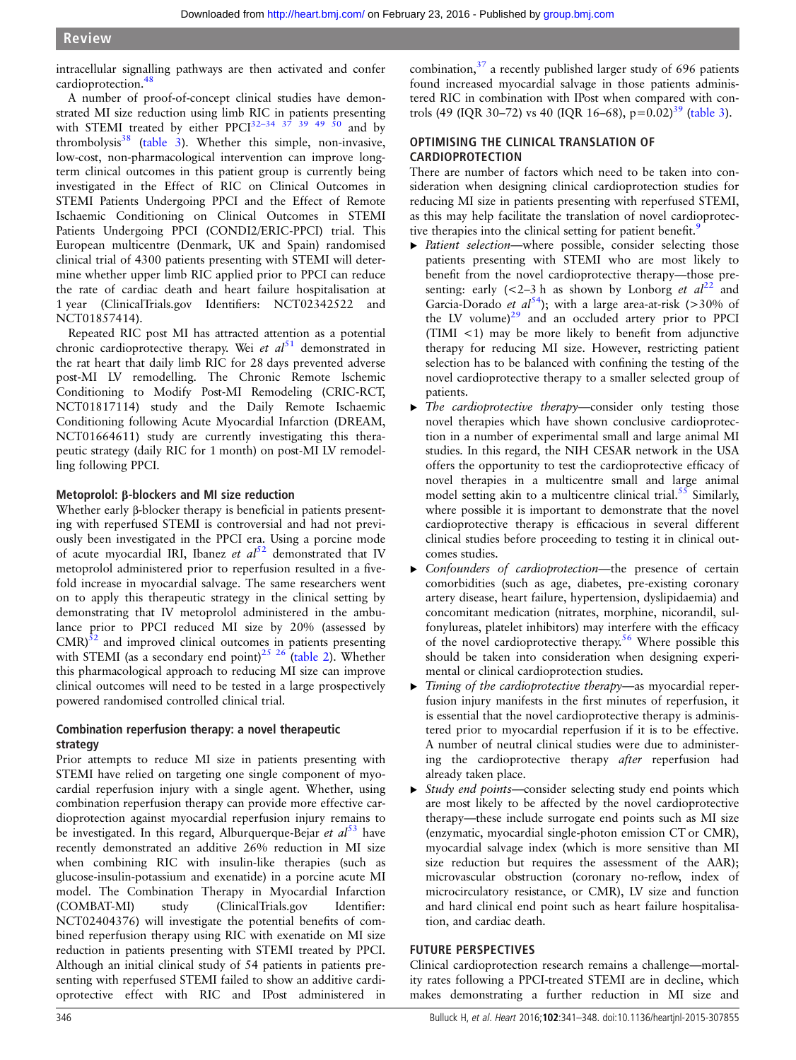intracellular signalling pathways are then activated and confer cardioprotection.<sup>[48](#page-7-0)</sup>

A number of proof-of-concept clinical studies have demonstrated MI size reduction using limb RIC in patients presenting with STEMI treated by either  $PPCI<sup>32-34</sup>$  $PPCI<sup>32-34</sup>$  $PPCI<sup>32-34</sup>$   $37$   $39$   $49$   $50$  and by thrombolysis $38$  ([table 3\)](#page-4-0). Whether this simple, non-invasive, low-cost, non-pharmacological intervention can improve longterm clinical outcomes in this patient group is currently being investigated in the Effect of RIC on Clinical Outcomes in STEMI Patients Undergoing PPCI and the Effect of Remote Ischaemic Conditioning on Clinical Outcomes in STEMI Patients Undergoing PPCI (CONDI2/ERIC-PPCI) trial. This European multicentre (Denmark, UK and Spain) randomised clinical trial of 4300 patients presenting with STEMI will determine whether upper limb RIC applied prior to PPCI can reduce the rate of cardiac death and heart failure hospitalisation at 1 year (ClinicalTrials.gov Identifiers: NCT02342522 and NCT01857414).

Repeated RIC post MI has attracted attention as a potential chronic cardioprotective therapy. Wei et  $al^{51}$  $al^{51}$  $al^{51}$  demonstrated in the rat heart that daily limb RIC for 28 days prevented adverse post-MI LV remodelling. The Chronic Remote Ischemic Conditioning to Modify Post-MI Remodeling (CRIC-RCT, NCT01817114) study and the Daily Remote Ischaemic Conditioning following Acute Myocardial Infarction (DREAM, NCT01664611) study are currently investigating this therapeutic strategy (daily RIC for 1 month) on post-MI LV remodelling following PPCI.

### Metoprolol: β-blockers and MI size reduction

Whether early β-blocker therapy is beneficial in patients presenting with reperfused STEMI is controversial and had not previously been investigated in the PPCI era. Using a porcine mode of acute myocardial IRI, Ibanez et  $al^{52}$  $al^{52}$  $al^{52}$  demonstrated that IV metoprolol administered prior to reperfusion resulted in a fivefold increase in myocardial salvage. The same researchers went on to apply this therapeutic strategy in the clinical setting by demonstrating that IV metoprolol administered in the ambulance prior to PPCI reduced MI size by 20% (assessed by  $CMR$ ) $\delta$ <sup>2</sup> and improved clinical outcomes in patients presenting with STEMI (as a secondary end point)<sup>[25 26](#page-6-0)</sup> [\(table 2\)](#page-3-0). Whether this pharmacological approach to reducing MI size can improve clinical outcomes will need to be tested in a large prospectively powered randomised controlled clinical trial.

### Combination reperfusion therapy: a novel therapeutic strategy

Prior attempts to reduce MI size in patients presenting with STEMI have relied on targeting one single component of myocardial reperfusion injury with a single agent. Whether, using combination reperfusion therapy can provide more effective cardioprotection against myocardial reperfusion injury remains to be investigated. In this regard, Alburquerque-Bejar et  $al^{53}$  $al^{53}$  $al^{53}$  have recently demonstrated an additive 26% reduction in MI size when combining RIC with insulin-like therapies (such as glucose-insulin-potassium and exenatide) in a porcine acute MI model. The Combination Therapy in Myocardial Infarction (COMBAT-MI) study (ClinicalTrials.gov Identifier: NCT02404376) will investigate the potential benefits of combined reperfusion therapy using RIC with exenatide on MI size reduction in patients presenting with STEMI treated by PPCI. Although an initial clinical study of 54 patients in patients presenting with reperfused STEMI failed to show an additive cardioprotective effect with RIC and IPost administered in

combination, $37$  a recently published larger study of 696 patients found increased myocardial salvage in those patients administered RIC in combination with IPost when compared with controls (49 (IQR 30–72) vs 40 (IQR 16–68),  $p=0.02$ )<sup>[39](#page-7-0)</sup> ([table 3\)](#page-4-0).

### OPTIMISING THE CLINICAL TRANSLATION OF CARDIOPROTECTION

There are number of factors which need to be taken into consideration when designing clinical cardioprotection studies for reducing MI size in patients presenting with reperfused STEMI, as this may help facilitate the translation of novel cardioprotec-tive therapies into the clinical setting for patient benefit.<sup>[9](#page-6-0)</sup>

- ▶ Patient selection—where possible, consider selecting those patients presenting with STEMI who are most likely to benefit from the novel cardioprotective therapy—those presenting: early  $(<2-3 h$  as shown by Lonborg *et al*<sup>[22](#page-6-0)</sup> and Garcia-Dorado et  $al^{54}$  $al^{54}$  $al^{54}$ ); with a large area-at-risk (>30% of the LV volume) $29$  and an occluded artery prior to PPCI (TIMI <1) may be more likely to benefit from adjunctive therapy for reducing MI size. However, restricting patient selection has to be balanced with confining the testing of the novel cardioprotective therapy to a smaller selected group of patients.
- ▶ The cardioprotective therapy-consider only testing those novel therapies which have shown conclusive cardioprotection in a number of experimental small and large animal MI studies. In this regard, the NIH CESAR network in the USA offers the opportunity to test the cardioprotective efficacy of novel therapies in a multicentre small and large animal model setting akin to a multicentre clinical trial.<sup>[55](#page-7-0)</sup> Similarly, where possible it is important to demonstrate that the novel cardioprotective therapy is efficacious in several different clinical studies before proceeding to testing it in clinical outcomes studies.
- Confounders of cardioprotection—the presence of certain comorbidities (such as age, diabetes, pre-existing coronary artery disease, heart failure, hypertension, dyslipidaemia) and concomitant medication (nitrates, morphine, nicorandil, sulfonylureas, platelet inhibitors) may interfere with the efficacy of the novel cardioprotective therapy.<sup>[56](#page-7-0)</sup> Where possible this should be taken into consideration when designing experimental or clinical cardioprotection studies.
- ▸ Timing of the cardioprotective therapy—as myocardial reperfusion injury manifests in the first minutes of reperfusion, it is essential that the novel cardioprotective therapy is administered prior to myocardial reperfusion if it is to be effective. A number of neutral clinical studies were due to administering the cardioprotective therapy after reperfusion had already taken place.
- ▸ Study end points—consider selecting study end points which are most likely to be affected by the novel cardioprotective therapy—these include surrogate end points such as MI size (enzymatic, myocardial single-photon emission CT or CMR), myocardial salvage index (which is more sensitive than MI size reduction but requires the assessment of the AAR); microvascular obstruction (coronary no-reflow, index of microcirculatory resistance, or CMR), LV size and function and hard clinical end point such as heart failure hospitalisation, and cardiac death.

### FUTURE PERSPECTIVES

Clinical cardioprotection research remains a challenge—mortality rates following a PPCI-treated STEMI are in decline, which makes demonstrating a further reduction in MI size and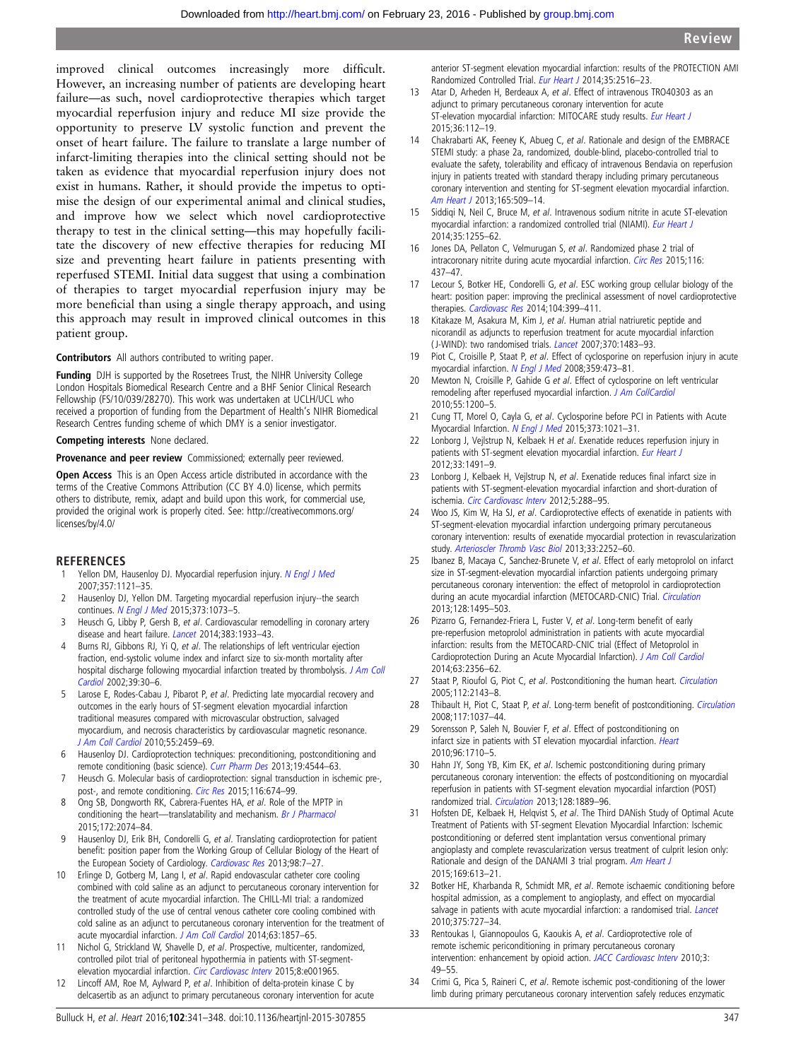<span id="page-6-0"></span>improved clinical outcomes increasingly more difficult. However, an increasing number of patients are developing heart failure—as such, novel cardioprotective therapies which target myocardial reperfusion injury and reduce MI size provide the opportunity to preserve LV systolic function and prevent the onset of heart failure. The failure to translate a large number of infarct-limiting therapies into the clinical setting should not be taken as evidence that myocardial reperfusion injury does not exist in humans. Rather, it should provide the impetus to optimise the design of our experimental animal and clinical studies, and improve how we select which novel cardioprotective therapy to test in the clinical setting—this may hopefully facilitate the discovery of new effective therapies for reducing MI size and preventing heart failure in patients presenting with reperfused STEMI. Initial data suggest that using a combination of therapies to target myocardial reperfusion injury may be more beneficial than using a single therapy approach, and using this approach may result in improved clinical outcomes in this patient group.

### Contributors All authors contributed to writing paper.

Funding DJH is supported by the Rosetrees Trust, the NIHR University College London Hospitals Biomedical Research Centre and a BHF Senior Clinical Research Fellowship (FS/10/039/28270). This work was undertaken at UCLH/UCL who received a proportion of funding from the Department of Health's NIHR Biomedical Research Centres funding scheme of which DMY is a senior investigator.

### Competing interests None declared.

Provenance and peer review Commissioned; externally peer reviewed.

Open Access This is an Open Access article distributed in accordance with the terms of the Creative Commons Attribution (CC BY 4.0) license, which permits others to distribute, remix, adapt and build upon this work, for commercial use, provided the original work is properly cited. See: [http://creativecommons.org/](http://creativecommons.org/licenses/by/4.0/) [licenses/by/4.0/](http://creativecommons.org/licenses/by/4.0/)

### **REFERENCES**

- Yellon DM, Hausenloy DJ. Myocardial reperfusion injury. [N Engl J Med](http://dx.doi.org/10.1056/NEJMra071667) 2007;357:1121–35.
- 2 Hausenloy DJ, Yellon DM. Targeting myocardial reperfusion injury--the search continues. [N Engl J Med](http://dx.doi.org/10.1056/NEJMe1509718) 2015;373:1073-5.
- 3 Heusch G, Libby P, Gersh B, et al. Cardiovascular remodelling in coronary artery disease and heart failure. [Lancet](http://dx.doi.org/10.1016/S0140-6736(14)60107-0) 2014;383:1933-43.
- 4 Burns RJ, Gibbons RJ, Yi Q, et al. The relationships of left ventricular ejection fraction, end-systolic volume index and infarct size to six-month mortality after hospital discharge following myocardial infarction treated by thrombolysis. [J Am Coll](http://dx.doi.org/10.1016/S0735-1097(01)01711-9) [Cardiol](http://dx.doi.org/10.1016/S0735-1097(01)01711-9) 2002;39:30–6.
- 5 Larose E, Rodes-Cabau J, Pibarot P, et al. Predicting late myocardial recovery and outcomes in the early hours of ST-segment elevation myocardial infarction traditional measures compared with microvascular obstruction, salvaged myocardium, and necrosis characteristics by cardiovascular magnetic resonance. [J Am Coll Cardiol](http://dx.doi.org/10.1016/j.jacc.2010.02.033) 2010;55:2459–69.
- 6 Hausenloy DJ. Cardioprotection techniques: preconditioning, postconditioning and remote conditioning (basic science). [Curr Pharm Des](http://dx.doi.org/10.2174/1381612811319250004) 2013;19:4544-63.
- 7 Heusch G. Molecular basis of cardioprotection: signal transduction in ischemic pre-, post-, and remote conditioning. [Circ Res](http://dx.doi.org/10.1161/CIRCRESAHA.116.305348) 2015;116:674-99.
- 8 Ong SB, Dongworth RK, Cabrera-Fuentes HA, et al. Role of the MPTP in conditioning the heart—translatability and mechanism. [Br J Pharmacol](http://dx.doi.org/10.1111/bph.13013) 2015;172:2074–84.
- 9 Hausenloy DJ, Erik BH, Condorelli G, et al. Translating cardioprotection for patient benefit: position paper from the Working Group of Cellular Biology of the Heart of the European Society of Cardiology. [Cardiovasc Res](http://dx.doi.org/10.1093/cvr/cvt004) 2013;98:7-27.
- 10 Erlinge D, Gotberg M, Lang I, et al. Rapid endovascular catheter core cooling combined with cold saline as an adjunct to percutaneous coronary intervention for the treatment of acute myocardial infarction. The CHILL-MI trial: a randomized controlled study of the use of central venous catheter core cooling combined with cold saline as an adjunct to percutaneous coronary intervention for the treatment of acute myocardial infarction. [J Am Coll Cardiol](http://dx.doi.org/10.1016/j.jacc.2013.12.027) 2014;63:1857-65.
- 11 Nichol G, Strickland W, Shavelle D, et al. Prospective, multicenter, randomized, controlled pilot trial of peritoneal hypothermia in patients with ST-segment-elevation myocardial infarction. [Circ Cardiovasc Interv](http://dx.doi.org/10.1161/CIRCINTERVENTIONS.114.001965) 2015;8:e001965.
- 12 Lincoff AM, Roe M, Aylward P, et al. Inhibition of delta-protein kinase C by delcasertib as an adjunct to primary percutaneous coronary intervention for acute

anterior ST-segment elevation myocardial infarction: results of the PROTECTION AMI Randomized Controlled Trial. [Eur Heart J](http://dx.doi.org/10.1093/eurheartj/ehu177) 2014;35:2516-23.

- 13 Atar D, Arheden H, Berdeaux A, et al. Effect of intravenous TRO40303 as an adjunct to primary percutaneous coronary intervention for acute ST-elevation myocardial infarction: MITOCARE study results. [Eur Heart J](http://dx.doi.org/10.1093/eurheartj/ehu331) 2015;36:112–19.
- 14 Chakrabarti AK, Feeney K, Abueg C, et al. Rationale and design of the EMBRACE STEMI study: a phase 2a, randomized, double-blind, placebo-controlled trial to evaluate the safety, tolerability and efficacy of intravenous Bendavia on reperfusion injury in patients treated with standard therapy including primary percutaneous coronary intervention and stenting for ST-segment elevation myocardial infarction. [Am Heart J](http://dx.doi.org/10.1016/j.ahj.2012.12.008) 2013;165:509–14.
- 15 Siddiqi N, Neil C, Bruce M, et al. Intravenous sodium nitrite in acute ST-elevation myocardial infarction: a randomized controlled trial (NIAMI). [Eur Heart J](http://dx.doi.org/10.1093/eurheartj/ehu096) 2014;35:1255–62.
- 16 Jones DA, Pellaton C, Velmurugan S, et al. Randomized phase 2 trial of intracoronary nitrite during acute myocardial infarction. [Circ Res](http://dx.doi.org/10.1161/CIRCRESAHA.116.305082) 2015;116: 437–47.
- 17 Lecour S, Botker HE, Condorelli G, et al. ESC working group cellular biology of the heart: position paper: improving the preclinical assessment of novel cardioprotective therapies. [Cardiovasc Res](http://dx.doi.org/10.1093/cvr/cvu225) 2014;104:399-411.
- 18 Kitakaze M, Asakura M, Kim J, et al. Human atrial natriuretic peptide and nicorandil as adjuncts to reperfusion treatment for acute myocardial infarction ( J-WIND): two randomised trials. *[Lancet](http://dx.doi.org/10.1016/S0140-6736(07)61634-1)* 2007;370:1483-93.
- 19 Piot C, Croisille P, Staat P, et al. Effect of cyclosporine on reperfusion injury in acute myocardial infarction. [N Engl J Med](http://dx.doi.org/10.1056/NEJMoa071142) 2008;359:473-81.
- 20 Mewton N, Croisille P, Gahide G et al. Effect of cyclosporine on left ventricular remodeling after reperfused myocardial infarction. [J Am CollCardiol](http://dx.doi.org/10.1016/j.jacc.2009.10.052) 2010;55:1200–5.
- 21 Cung TT, Morel O, Cayla G, et al. Cyclosporine before PCI in Patients with Acute Myocardial Infarction. [N Engl J Med](http://dx.doi.org/10.1056/NEJMoa1505489) 2015;373:1021–31.
- 22 Lonborg J, Vejlstrup N, Kelbaek H et al. Exenatide reduces reperfusion injury in patients with ST-segment elevation myocardial infarction. [Eur Heart J](http://dx.doi.org/10.1093/eurheartj/ehr309) 2012;33:1491–9.
- 23 Lonborg J, Kelbaek H, Vejlstrup N, et al. Exenatide reduces final infarct size in patients with ST-segment-elevation myocardial infarction and short-duration of ischemia. [Circ Cardiovasc Interv](http://dx.doi.org/10.1161/CIRCINTERVENTIONS.112.968388) 2012;5:288–95.
- 24 Woo JS, Kim W, Ha SJ, et al. Cardioprotective effects of exenatide in patients with ST-segment-elevation myocardial infarction undergoing primary percutaneous coronary intervention: results of exenatide myocardial protection in revascularization study. [Arterioscler Thromb Vasc Biol](http://dx.doi.org/10.1161/ATVBAHA.113.301586) 2013;33:2252-60.
- 25 Ibanez B, Macaya C, Sanchez-Brunete V, et al. Effect of early metoprolol on infarct size in ST-segment-elevation myocardial infarction patients undergoing primary percutaneous coronary intervention: the effect of metoprolol in cardioprotection during an acute myocardial infarction (METOCARD-CNIC) Trial. *[Circulation](http://dx.doi.org/10.1161/CIRCULATIONAHA.113.003653)* 2013;128:1495–503.
- 26 Pizarro G, Fernandez-Friera L, Fuster V, et al. Long-term benefit of early pre-reperfusion metoprolol administration in patients with acute myocardial infarction: results from the METOCARD-CNIC trial (Effect of Metoprolol in Cardioprotection During an Acute Myocardial Infarction). [J Am Coll Cardiol](http://dx.doi.org/10.1016/j.jacc.2014.03.014) 2014;63:2356–62.
- 27 Staat P, Rioufol G, Piot C, et al. Postconditioning the human heart. [Circulation](http://dx.doi.org/10.1161/CIRCULATIONAHA.105.558122) 2005;112:2143–8.
- 28 Thibault H, Piot C, Staat P, et al. Long-term benefit of postconditioning. *[Circulation](http://dx.doi.org/10.1161/CIRCULATIONAHA.107.729780)* 2008;117:1037–44.
- 29 Sorensson P, Saleh N, Bouvier F, et al. Effect of postconditioning on infarct size in patients with ST elevation myocardial infarction. [Heart](http://dx.doi.org/10.1136/hrt.2010.199430) 2010;96:1710–5.
- 30 Hahn JY, Song YB, Kim EK, et al. Ischemic postconditioning during primary percutaneous coronary intervention: the effects of postconditioning on myocardial reperfusion in patients with ST-segment elevation myocardial infarction (POST) randomized trial. [Circulation](http://dx.doi.org/10.1161/CIRCULATIONAHA.113.001690) 2013;128:1889-96.
- 31 Hofsten DE, Kelbaek H, Helqvist S, et al. The Third DANish Study of Optimal Acute Treatment of Patients with ST-segment Elevation Myocardial Infarction: Ischemic postconditioning or deferred stent implantation versus conventional primary angioplasty and complete revascularization versus treatment of culprit lesion only: Rationale and design of the DANAMI 3 trial program. [Am Heart J](http://dx.doi.org/10.1016/j.ahj.2015.02.004) 2015;169:613–21.
- 32 Botker HE, Kharbanda R, Schmidt MR, et al. Remote ischaemic conditioning before hospital admission, as a complement to angioplasty, and effect on myocardial salvage in patients with acute myocardial infarction: a randomised trial. [Lancet](http://dx.doi.org/10.1016/S0140-6736(09)62001-8) 2010;375:727–34.
- 33 Rentoukas I, Giannopoulos G, Kaoukis A, et al. Cardioprotective role of remote ischemic periconditioning in primary percutaneous coronary intervention: enhancement by opioid action. [JACC Cardiovasc Interv](http://dx.doi.org/10.1016/j.jcin.2009.10.015) 2010;3: 49–55.
- 34 Crimi G, Pica S, Raineri C, et al. Remote ischemic post-conditioning of the lower limb during primary percutaneous coronary intervention safely reduces enzymatic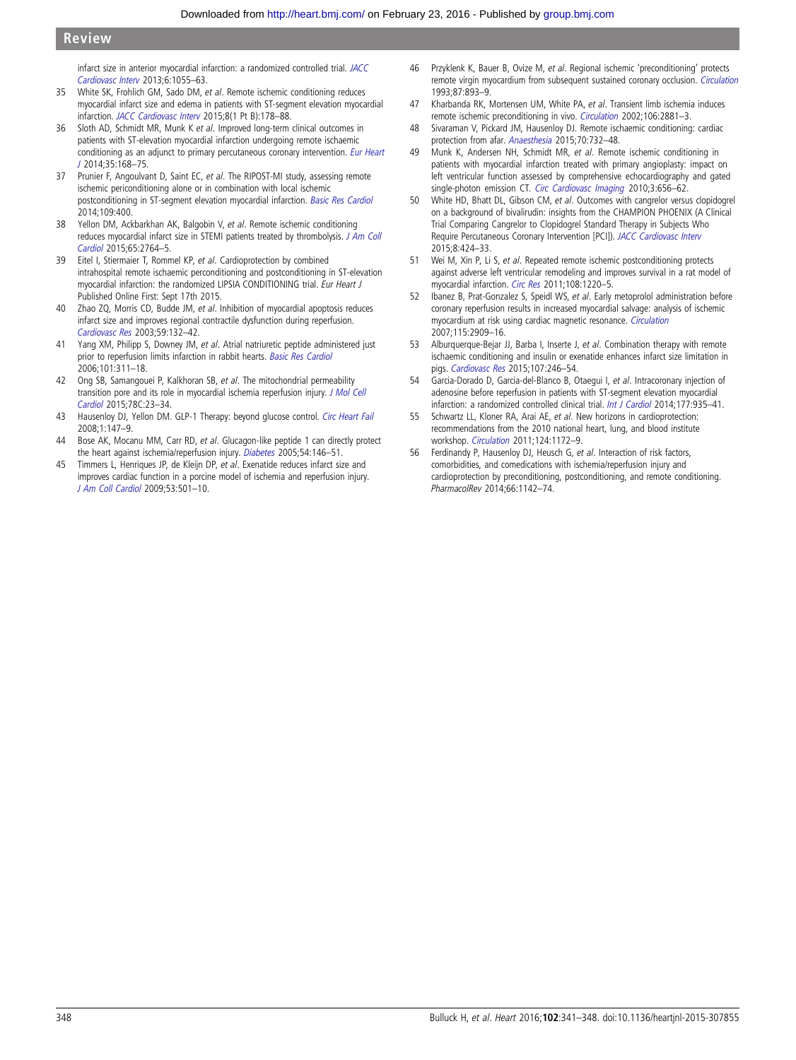<span id="page-7-0"></span>infarct size in anterior myocardial infarction: a randomized controlled trial. [JACC](http://dx.doi.org/10.1016/j.jcin.2013.05.011) [Cardiovasc Interv](http://dx.doi.org/10.1016/j.jcin.2013.05.011) 2013;6:1055–63.

- 35 White SK, Frohlich GM, Sado DM, et al. Remote ischemic conditioning reduces myocardial infarct size and edema in patients with ST-segment elevation myocardial infarction. [JACC Cardiovasc Interv](http://dx.doi.org/10.1016/j.jcin.2014.05.015) 2015;8(1 Pt B):178–88.
- 36 Sloth AD, Schmidt MR, Munk K et al. Improved long-term clinical outcomes in patients with ST-elevation myocardial infarction undergoing remote ischaemic conditioning as an adjunct to primary percutaneous coronary intervention. [Eur Heart](http://dx.doi.org/10.1093/eurheartj/eht369) [J](http://dx.doi.org/10.1093/eurheartj/eht369) 2014;35:168–75.
- 37 Prunier F, Angoulvant D, Saint EC, et al. The RIPOST-MI study, assessing remote ischemic periconditioning alone or in combination with local ischemic postconditioning in ST-segment elevation myocardial infarction. [Basic Res Cardiol](http://dx.doi.org/10.1007/s00395-013-0400-y) 2014;109:400.
- 38 Yellon DM, Ackbarkhan AK, Balgobin V, et al. Remote ischemic conditioning reduces myocardial infarct size in STEMI patients treated by thrombolysis. [J Am Coll](http://dx.doi.org/10.1016/j.jacc.2015.02.082) [Cardiol](http://dx.doi.org/10.1016/j.jacc.2015.02.082) 2015;65:2764–5.
- 39 Eitel I, Stiermaier T, Rommel KP, et al. Cardioprotection by combined intrahospital remote ischaemic perconditioning and postconditioning in ST-elevation myocardial infarction: the randomized LIPSIA CONDITIONING trial. Eur Heart J Published Online First: Sept 17th 2015.
- 40 Zhao ZQ, Morris CD, Budde JM, et al. Inhibition of myocardial apoptosis reduces infarct size and improves regional contractile dysfunction during reperfusion. [Cardiovasc Res](http://dx.doi.org/10.1016/S0008-6363(03)00344-4) 2003;59:132–42.
- 41 Yang XM, Philipp S, Downey JM, et al. Atrial natriuretic peptide administered just prior to reperfusion limits infarction in rabbit hearts. [Basic Res Cardiol](http://dx.doi.org/10.1007/s00395-006-0587-2) 2006;101:311–18.
- 42 Ong SB, Samangouei P, Kalkhoran SB, et al. The mitochondrial permeability transition pore and its role in myocardial ischemia reperfusion injury. [J Mol Cell](http://dx.doi.org/10.1016/j.yjmcc.2014.11.005) [Cardiol](http://dx.doi.org/10.1016/j.yjmcc.2014.11.005) 2015;78C:23–34.
- 43 Hausenloy DJ, Yellon DM. GLP-1 Therapy: beyond glucose control. [Circ Heart Fail](http://dx.doi.org/10.1161/CIRCHEARTFAILURE.108.810887) 2008;1:147–9.
- 44 Bose AK, Mocanu MM, Carr RD, et al. Glucagon-like peptide 1 can directly protect the heart against ischemia/reperfusion injury. [Diabetes](http://dx.doi.org/10.2337/diabetes.54.1.146) 2005;54:146-51.
- 45 Timmers L, Henriques JP, de Kleijn DP, et al. Exenatide reduces infarct size and improves cardiac function in a porcine model of ischemia and reperfusion injury. [J Am Coll Cardiol](http://dx.doi.org/10.1016/j.jacc.2008.10.033) 2009;53:501–10.
- 46 Przyklenk K, Bauer B, Ovize M, et al. Regional ischemic 'preconditioning' protects remote virgin myocardium from subsequent sustained coronary occlusion. *[Circulation](http://dx.doi.org/10.1161/01.CIR.87.3.893)* 1993;87:893–9.
- 47 Kharbanda RK, Mortensen UM, White PA, et al. Transient limb ischemia induces remote ischemic preconditioning in vivo. *[Circulation](http://dx.doi.org/10.1161/01.CIR.0000043806.51912.9B)* 2002;106:2881-3.
- 48 Sivaraman V, Pickard JM, Hausenloy DJ. Remote ischaemic conditioning: cardiac protection from afar. [Anaesthesia](http://dx.doi.org/10.1111/anae.12973) 2015;70:732-48.
- 49 Munk K, Andersen NH, Schmidt MR, et al. Remote ischemic conditioning in patients with myocardial infarction treated with primary angioplasty: impact on left ventricular function assessed by comprehensive echocardiography and gated single-photon emission CT. [Circ Cardiovasc Imaging](http://dx.doi.org/10.1161/CIRCIMAGING.110.957340) 2010;3:656-62.
- 50 White HD, Bhatt DL, Gibson CM, et al. Outcomes with cangrelor versus clopidogrel on a background of bivalirudin: insights from the CHAMPION PHOENIX (A Clinical Trial Comparing Cangrelor to Clopidogrel Standard Therapy in Subjects Who Require Percutaneous Coronary Intervention [PCI]). [JACC Cardiovasc Interv](http://dx.doi.org/10.1016/j.jcin.2014.09.025) 2015;8:424–33.
- Wei M, Xin P, Li S, et al. Repeated remote ischemic postconditioning protects against adverse left ventricular remodeling and improves survival in a rat model of myocardial infarction. [Circ Res](http://dx.doi.org/10.1161/CIRCRESAHA.110.236190) 2011;108:1220-5.
- 52 Ibanez B, Prat-Gonzalez S, Speidl WS, et al. Early metoprolol administration before coronary reperfusion results in increased myocardial salvage: analysis of ischemic myocardium at risk using cardiac magnetic resonance. [Circulation](http://dx.doi.org/10.1161/CIRCULATIONAHA.106.679639) 2007;115:2909–16.
- 53 Alburquerque-Bejar JJ, Barba I, Inserte J, et al. Combination therapy with remote ischaemic conditioning and insulin or exenatide enhances infarct size limitation in pigs. [Cardiovasc Res](http://dx.doi.org/10.1093/cvr/cvv171) 2015;107:246–54.
- 54 Garcia-Dorado D, Garcia-del-Blanco B, Otaegui I, et al. Intracoronary injection of adenosine before reperfusion in patients with ST-segment elevation myocardial infarction: a randomized controlled clinical trial. [Int J Cardiol](http://dx.doi.org/10.1016/j.ijcard.2014.09.203) 2014;177:935-41.
- 55 Schwartz LL, Kloner RA, Arai AE, et al. New horizons in cardioprotection: recommendations from the 2010 national heart, lung, and blood institute workshop. [Circulation](http://dx.doi.org/10.1161/CIRCULATIONAHA.111.032698) 2011;124:1172–9.
- 56 Ferdinandy P, Hausenloy DJ, Heusch G, et al. Interaction of risk factors, comorbidities, and comedications with ischemia/reperfusion injury and cardioprotection by preconditioning, postconditioning, and remote conditioning. PharmacolRev 2014;66:1142–74.